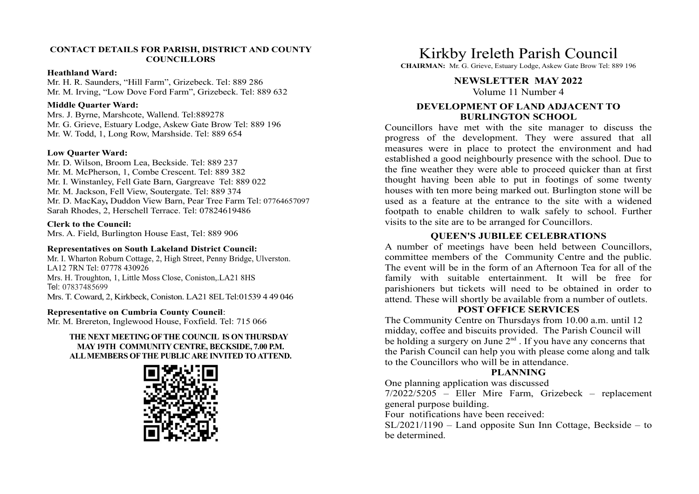### CONTACT DETAILS FOR PARISH, DISTRICT AND COUNTY **COUNCILLORS**

#### Heathland Ward:

Mr. H. R. Saunders, "Hill Farm", Grizebeck. Tel: 889 286 Mr. M. Irving, "Low Dove Ford Farm", Grizebeck. Tel: 889 632

### Middle Quarter Ward:

Mrs. J. Byrne, Marshcote, Wallend. Tel:889278 Mr. G. Grieve, Estuary Lodge, Askew Gate Brow Tel: 889 196 Councillors have met with the site manager to discuss the Mr. W. Todd, 1, Long Row, Marshside. Tel: 889 654

## Low Quarter Ward:

Mr. D. Wilson, Broom Lea, Beckside. Tel: 889 237 Mr. M. McPherson, 1, Combe Crescent. Tel: 889 382 Mr. M. Jackson, Fell View, Soutergate. Tel: 889 374 Sarah Rhodes, 2, Herschell Terrace. Tel: 07824619486

## Clerk to the Council:

Mrs. A. Field, Burlington House East, Tel: 889 906

### Representatives on South Lakeland District Council:

Mr. I. Wharton Roburn Cottage, 2, High Street, Penny Bridge, Ulverston. LA12 7RN Tel: 07778 430926 Mrs. H. Troughton, 1, Little Moss Close, Coniston,.LA21 8HS Tel: 07837485699 Mrs. T. Coward, 2, Kirkbeck, Coniston. LA21 8EL Tel:01539 4 49 046

#### Representative on Cumbria County Council:

Mr. M. Brereton, Inglewood House, Foxfield. Tel: 715 066

## THE NEXT MEETING OF THE COUNCIL IS ON THURSDAY MAY 19TH COMMUNITY CENTRE, BECKSIDE, 7.00 P.M. ALL MEMBERS OF THE PUBLIC ARE INVITED TO ATTEND.



Kirkby Ireleth Parish Council

CHAIRMAN: Mr. G. Grieve, Estuary Lodge, Askew Gate Brow Tel: 889 196

#### NEWSLETTER MAY 2022

Volume 11 Number 4

## DEVELOPMENT OF LAND ADJACENT TO BURLINGTON SCHOOL

Mr. I. Winstanley, Fell Gate Barn, Gargreave Tel: 889 022 Mr. D. MacKay, Duddon View Barn, Pear Tree Farm Tel: 07764657097 used as a feature at the entrance to the site with a widened<br>Sarah Rhodes, 2, Herschell Terrace. Tel: 07824619486 footpath to enable children to walk safely Kirkby Ireleth Parish Council<br>CHAIRMAN: Mr. G. Grieve, Estuary Lodge, Askew Gate Brow Tel: 889 196<br>NEWSLETTER MAY 2022<br>Volume 11 Number 4<br>DEVELOPMENT OF LAND ADJACENT TO<br>EURILINGTON SCHOOL<br>Councillors have met with the sit Kirkby Ireleth Parish Council<br>CHAIRMAN: Mr. G. Grieve, Estuary Lodge, Askew Gate Brow Tel: 889 196<br>NEWSLETTER MAY 2022<br>Volume 11 Number 4<br>DEVELOPMENT OF LAND ADJACENT TO<br>Councillors have met with the site manager to discus Kirkby Ireleth Parish Council<br>
CHAIRMAN: Mr. G. Grieve, Estuary Lodge, Askev Gate Brow Tel: 889 196<br>
NEWSLETTER MAY 2022<br>
Volume 11 Number 4<br>
DEVELOPMENT OF LAND ADJACENT TO<br>
BURLINGTON SCHOOL<br>
Councillors have met with t established a good neighbourly presence with the school. Due to the fine weather they were able to proceed quicker than at first Kirkby Ireleth Parish Council<br>
CHAIRMAN: Mr. G. Grieve, Estuary Lodge, Askew Gate Brow Tel: 889 196<br>
NEWSLETTER MAY 2022<br>
Volume 11 Number 4<br>
BURLINGTON SCHOOL<br>
COUNCION SCHOOL<br>
Councillors have met with the site manager t houses with ten more being marked out. Burlington stone will be **Kirkby Ireleth Parish Council**<br>CHAIRMAN: Mr. G. Grieve, Estuary Lodge, Askew Gate Brow Tel: 889 196<br>NEWSLETTER MAY 2022<br>Volume 11 Number 4<br>DEVELOPMENT OF LAND ADJACENT TO<br>BURCLINGTON SCHOOL<br>Councillors have met with the Kirkby Ireleth Parish Council<br>
CIJAIRMAN: Mr. G. Grieve, Estuary Lodge, Askew Gate Brow Tel: 889 196<br>
WORTETTER MAY 2022<br>
UNIMENT OF LAND ADJACENT TO<br>
BURLINGTON SCHOOL<br>
COUNCILIST have met with the site manager to discuss visits to the site are to be arranged for Councillors. KITROY ITCLET PATISH COUNCIL<br>
CHARMAN: Mr. G. Grieve, Estany Lodge, Askev Gate Brow Tel: 889 196<br>
Wellme 11 Number 4<br>
DEVELOPMENT OF LAND ADJACENT TO<br>
BURLINGTON SCHOOL<br>
Councillors have met with the site manager to discu CHAIRMAN: Mr. G. Grieve, Estuary Lodge, Askew Gate Brow Tel: 889 196<br> **NEWSLETTER MAY 2022**<br> **NEWSLETTER MAY 2022**<br> **DEVELOPMENT OF LAND ADJACENT TO**<br> **EVELOPMENT OF LAND ADJACENT TO**<br> **Councillors have met with the site NEWSLETTER MAY 2022**<br>Volume 11 Number 4<br>DEVELOPMENT OF LAND ADJACENT TO<br>DEVELOPMENT OF LAND ADJACENT TO<br>Councillors have met with the site manager to discuss the<br>progress of the development. They were assured that all<br>me

## QUEEN'S JUBILEE CELEBRATIONS

committee members of the Community Centre and the public. The event will be in the form of an Afternoon Tea for all of the attend. These will shortly be available from a number of outlets. thought having been able to put in fotomings of some twenty<br>houses with ten more being marked out. Burlington stone will be<br>used as a feature at the entrance to the site with a widened<br>footpath to enable children to walk

## POST OFFICE SERVICES

The Community Centre on Thursdays from 10.00 a.m. until 12 midday, coffee and biscuits provided. The Parish Council will be holding a surgery on June  $2<sup>nd</sup>$ . If you have any concerns that the Parish Council can help you with please come along and talk to the Councillors who will be in attendance.

## PLANNING

One planning application was discussed

general purpose building.

Four notifications have been received:

SL/2021/1190 – Land opposite Sun Inn Cottage, Beckside – to be determined.